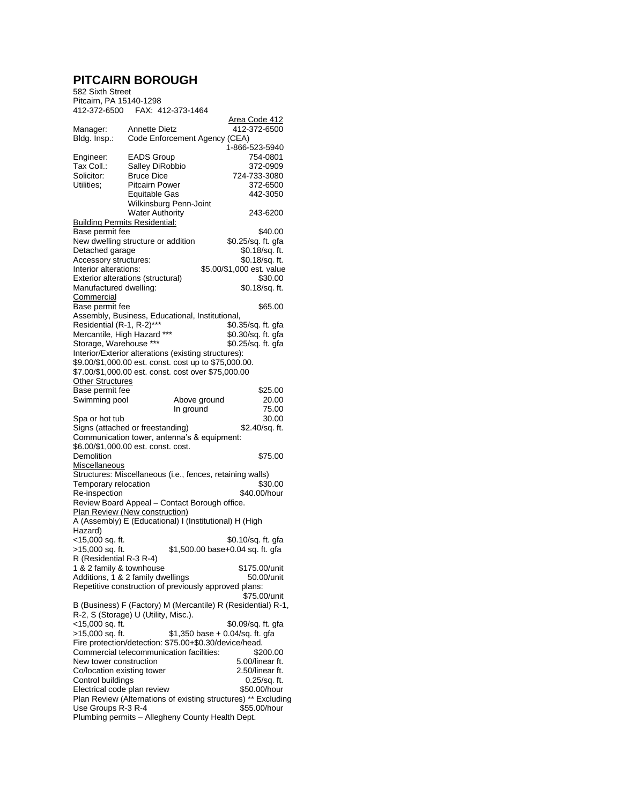## **PITCAIRN BOROUGH**

582 Sixth Street Pitcairn, PA 15140-1298 412-372-6500 FAX: 412-373-1464

|                                                                                 |                               |              |  | <u>Area Code 412</u>             |            |  |
|---------------------------------------------------------------------------------|-------------------------------|--------------|--|----------------------------------|------------|--|
| Manager:                                                                        | Annette Dietz                 |              |  | 412-372-6500                     |            |  |
| Bldg. Insp.:                                                                    | Code Enforcement Agency (CEA) |              |  |                                  |            |  |
|                                                                                 |                               |              |  | 1-866-523-5940                   |            |  |
| Engineer:                                                                       | <b>EADS Group</b>             |              |  |                                  | 754-0801   |  |
| Tax Coll.:                                                                      | Salley DiRobbio               |              |  |                                  | 372-0909   |  |
| Solicitor:                                                                      | <b>Bruce Dice</b>             |              |  | 724-733-3080                     |            |  |
| Utilities;                                                                      | <b>Pitcairn Power</b>         |              |  |                                  | 372-6500   |  |
|                                                                                 | Equitable Gas                 |              |  |                                  | 442-3050   |  |
|                                                                                 | Wilkinsburg Penn-Joint        |              |  |                                  |            |  |
|                                                                                 | <b>Water Authority</b>        |              |  |                                  | 243-6200   |  |
| <b>Building Permits Residential:</b>                                            |                               |              |  |                                  |            |  |
| Base permit fee                                                                 |                               |              |  |                                  | \$40.00    |  |
| New dwelling structure or addition                                              |                               |              |  | \$0.25/sq. ft. gfa               |            |  |
| Detached garage                                                                 |                               |              |  | \$0.18/sq. ft.                   |            |  |
| Accessory structures:                                                           |                               |              |  | \$0.18/sq. ft.                   |            |  |
| Interior alterations:                                                           |                               |              |  | \$5.00/\$1,000 est. value        |            |  |
| Exterior alterations (structural)                                               |                               |              |  |                                  | \$30.00    |  |
| Manufactured dwelling:                                                          |                               |              |  | \$0.18/sq. ft.                   |            |  |
| <b>Commercial</b>                                                               |                               |              |  |                                  |            |  |
| Base permit fee                                                                 |                               |              |  |                                  | \$65.00    |  |
| Assembly, Business, Educational, Institutional,                                 |                               |              |  |                                  |            |  |
| Residential (R-1, R-2)***                                                       |                               |              |  | \$0.35/sq. ft. gfa               |            |  |
| Mercantile, High Hazard ***                                                     |                               |              |  | \$0.30/sq. ft. gfa               |            |  |
| Storage, Warehouse ***                                                          |                               |              |  | \$0.25/sq. ft. qfa               |            |  |
| Interior/Exterior alterations (existing structures):                            |                               |              |  |                                  |            |  |
| \$9.00/\$1,000.00 est. const. cost up to \$75,000.00.                           |                               |              |  |                                  |            |  |
| \$7.00/\$1,000.00 est. const. cost over \$75,000.00                             |                               |              |  |                                  |            |  |
| Other Structures                                                                |                               |              |  |                                  |            |  |
| Base permit fee                                                                 |                               |              |  |                                  | \$25.00    |  |
| Swimming pool                                                                   |                               | Above ground |  |                                  | 20.00      |  |
|                                                                                 |                               | In ground    |  |                                  | 75.00      |  |
| Spa or hot tub                                                                  |                               |              |  |                                  | 30.00      |  |
| Signs (attached or freestanding)<br>Communication tower, antenna's & equipment: |                               |              |  | \$2.40/sq. ft.                   |            |  |
| \$6.00/\$1,000.00 est. const. cost.                                             |                               |              |  |                                  |            |  |
| Demolition                                                                      |                               |              |  |                                  | \$75.00    |  |
| Miscellaneous                                                                   |                               |              |  |                                  |            |  |
| Structures: Miscellaneous (i.e., fences, retaining walls)                       |                               |              |  |                                  |            |  |
| Temporary relocation                                                            |                               |              |  |                                  | \$30.00    |  |
| Re-inspection                                                                   |                               |              |  | \$40.00/hour                     |            |  |
|                                                                                 |                               |              |  |                                  |            |  |
| Review Board Appeal - Contact Borough office.<br>Plan Review (New construction) |                               |              |  |                                  |            |  |
| A (Assembly) E (Educational) I (Institutional) H (High                          |                               |              |  |                                  |            |  |
| Hazard)                                                                         |                               |              |  |                                  |            |  |
| <15,000 sq. ft.                                                                 |                               |              |  | \$0.10/sq. ft. gfa               |            |  |
| >15,000 sq. ft.                                                                 |                               |              |  | \$1,500.00 base+0.04 sq. ft. gfa |            |  |
| R (Residential R-3 R-4)                                                         |                               |              |  |                                  |            |  |
| 1 & 2 family & townhouse                                                        |                               |              |  | \$175.00/unit                    |            |  |
| Additions, 1 & 2 family dwellings                                               |                               |              |  |                                  | 50.00/unit |  |
| Repetitive construction of previously approved plans:                           |                               |              |  |                                  |            |  |
|                                                                                 |                               |              |  | \$75.00/unit                     |            |  |
| B (Business) F (Factory) M (Mercantile) R (Residential) R-1,                    |                               |              |  |                                  |            |  |
| R-2, S (Storage) U (Utility, Misc.).                                            |                               |              |  |                                  |            |  |
| <15,000 sq. ft.                                                                 |                               |              |  | \$0.09/sq. ft. qfa               |            |  |
| >15,000 sq. ft.                                                                 |                               |              |  | $$1,350$ base + 0.04/sq. ft. gfa |            |  |
| Fire protection/detection: \$75.00+\$0.30/device/head.                          |                               |              |  |                                  |            |  |
| Commercial telecommunication facilities:                                        |                               |              |  |                                  | \$200.00   |  |
| New tower construction                                                          |                               |              |  | 5.00/linear ft.                  |            |  |
| Co/location existing tower<br>2.50/linear ft.                                   |                               |              |  |                                  |            |  |
| Control buildings<br>0.25/sq. ft.                                               |                               |              |  |                                  |            |  |
| \$50.00/hour<br>Electrical code plan review                                     |                               |              |  |                                  |            |  |
| Plan Review (Alternations of existing structures) ** Excluding                  |                               |              |  |                                  |            |  |
| Use Groups R-3 R-4<br>\$55.00/hour                                              |                               |              |  |                                  |            |  |
| Plumbing permits - Allegheny County Health Dept.                                |                               |              |  |                                  |            |  |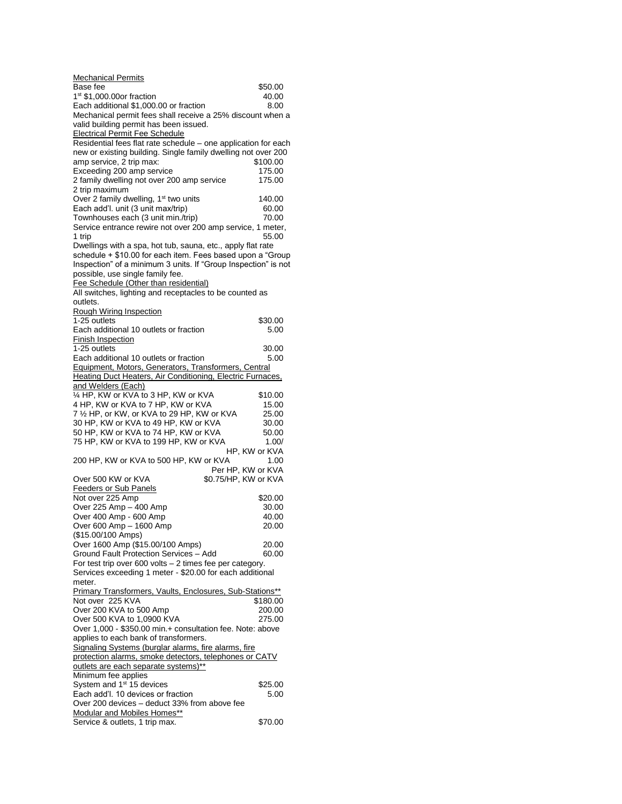| <b>Mechanical Permits</b>                                                                                      |          |
|----------------------------------------------------------------------------------------------------------------|----------|
| Base fee                                                                                                       | \$50.00  |
| $1st$ \$1,000.00or fraction<br>Each additional \$1,000.00 or fraction                                          | 40.00    |
| Mechanical permit fees shall receive a 25% discount when a                                                     | 8.00     |
| valid building permit has been issued.                                                                         |          |
| <b>Electrical Permit Fee Schedule</b>                                                                          |          |
| Residential fees flat rate schedule - one application for each                                                 |          |
| new or existing building. Single family dwelling not over 200                                                  |          |
| amp service, 2 trip max:                                                                                       | \$100.00 |
| Exceeding 200 amp service                                                                                      | 175.00   |
| 2 family dwelling not over 200 amp service                                                                     | 175.00   |
| 2 trip maximum<br>Over 2 family dwelling, 1 <sup>st</sup> two units                                            | 140.00   |
| Each add'l. unit (3 unit max/trip)                                                                             | 60.00    |
| Townhouses each (3 unit min./trip)                                                                             | 70.00    |
| Service entrance rewire not over 200 amp service, 1 meter,                                                     |          |
| 1 trip                                                                                                         | 55.00    |
| Dwellings with a spa, hot tub, sauna, etc., apply flat rate                                                    |          |
| schedule + \$10.00 for each item. Fees based upon a "Group                                                     |          |
| Inspection" of a minimum 3 units. If "Group Inspection" is not                                                 |          |
| possible, use single family fee.                                                                               |          |
| Fee Schedule (Other than residential)<br>All switches, lighting and receptacles to be counted as               |          |
| outlets.                                                                                                       |          |
| Rough Wiring Inspection                                                                                        |          |
| 1-25 outlets                                                                                                   | \$30.00  |
| Each additional 10 outlets or fraction                                                                         | 5.00     |
| <b>Finish Inspection</b>                                                                                       |          |
| 1-25 outlets                                                                                                   | 30.00    |
| Each additional 10 outlets or fraction                                                                         | 5.00     |
| Equipment, Motors, Generators, Transformers, Central                                                           |          |
| Heating Duct Heaters, Air Conditioning, Electric Furnaces,<br>and Welders (Each)                               |          |
| 1/4 HP, KW or KVA to 3 HP, KW or KVA                                                                           | \$10.00  |
| 4 HP, KW or KVA to 7 HP, KW or KVA                                                                             | 15.00    |
| 7 1/2 HP, or KW, or KVA to 29 HP, KW or KVA                                                                    | 25.00    |
| 30 HP, KW or KVA to 49 HP, KW or KVA                                                                           | 30.00    |
| 50 HP, KW or KVA to 74 HP, KW or KVA                                                                           | 50.00    |
| 75 HP, KW or KVA to 199 HP, KW or KVA                                                                          | 1.00/    |
| HP, KW or KVA                                                                                                  |          |
| 200 HP, KW or KVA to 500 HP, KW or KVA<br>Per HP, KW or KVA                                                    | 1.00     |
| Over 500 KW or KVA<br>\$0.75/HP, KW or KVA                                                                     |          |
| <b>Feeders or Sub Panels</b>                                                                                   |          |
| Not over 225 Amp                                                                                               | \$20.00  |
| Over 225 Amp - 400 Amp                                                                                         | 30.00    |
| Over 400 Amp - 600 Amp                                                                                         | 40.00    |
| Over 600 Amp - 1600 Amp                                                                                        | 20.00    |
| (\$15.00/100 Amps)                                                                                             |          |
| Over 1600 Amp (\$15.00/100 Amps)<br>Ground Fault Protection Services - Add                                     | 20.00    |
| For test trip over 600 volts - 2 times fee per category.                                                       | 60.00    |
| Services exceeding 1 meter - \$20.00 for each additional                                                       |          |
| meter.                                                                                                         |          |
| Primary Transformers, Vaults, Enclosures, Sub-Stations**                                                       |          |
| Not over 225 KVA                                                                                               | \$180.00 |
| Over 200 KVA to 500 Amp                                                                                        | 200.00   |
| Over 500 KVA to 1,0900 KVA                                                                                     | 275.00   |
| Over 1,000 - \$350.00 min.+ consultation fee. Note: above                                                      |          |
| applies to each bank of transformers.                                                                          |          |
| Signaling Systems (burglar alarms, fire alarms, fire<br>protection alarms, smoke detectors, telephones or CATV |          |
| outlets are each separate systems)**                                                                           |          |
| Minimum fee applies                                                                                            |          |
| System and 1 <sup>st</sup> 15 devices                                                                          | \$25.00  |
| Each add'l. 10 devices or fraction                                                                             | 5.00     |
| Over 200 devices – deduct 33% from above fee                                                                   |          |
| <b>Modular and Mobiles Homes**</b>                                                                             |          |
| Service & outlets, 1 trip max.                                                                                 | \$70.00  |